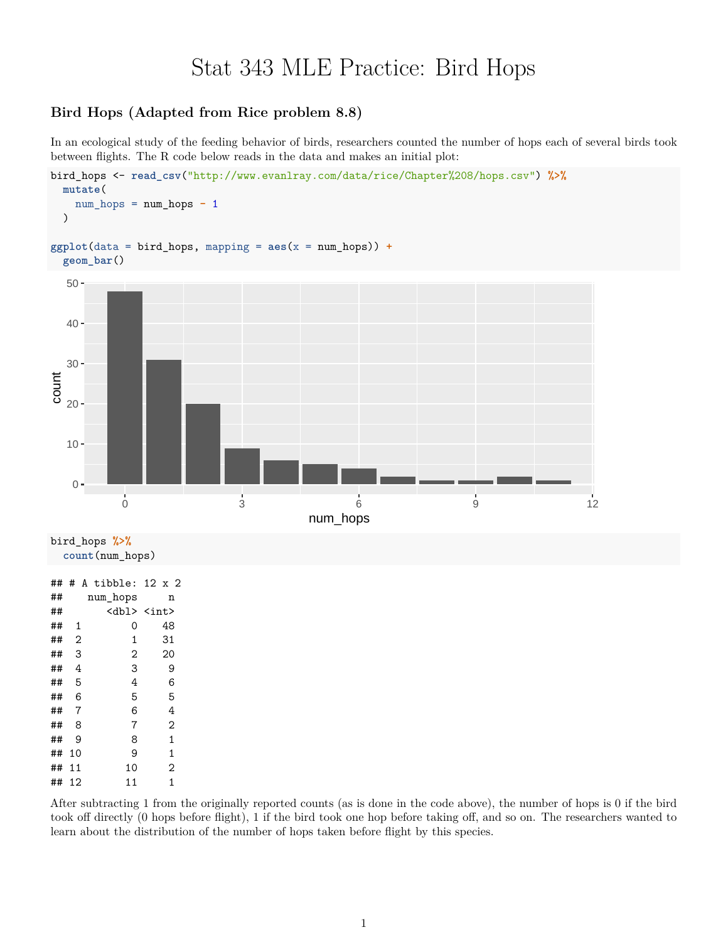## Stat 343 MLE Practice: Bird Hops

## **Bird Hops (Adapted from Rice problem 8.8)**

In an ecological study of the feeding behavior of birds, researchers counted the number of hops each of several birds took between flights. The R code below reads in the data and makes an initial plot:



| ## | 2  | 1            | 31           |
|----|----|--------------|--------------|
| ## | 3  | $\mathbf{2}$ | 20           |
| ## | 4  | 3            | 9            |
| ## | 5  | 4            | 6            |
| ## | 6  | 5            | 5            |
| ## | 7  | 6            | 4            |
| ## | 8  | 7            | 2            |
| ## | 9  | 8            | $\mathbf{1}$ |
| ## | 10 | 9            | 1            |
| ## | 11 | 10           | 2            |
| ## | 12 | 11           | 1            |

After subtracting 1 from the originally reported counts (as is done in the code above), the number of hops is 0 if the bird took off directly (0 hops before flight), 1 if the bird took one hop before taking off, and so on. The researchers wanted to learn about the distribution of the number of hops taken before flight by this species.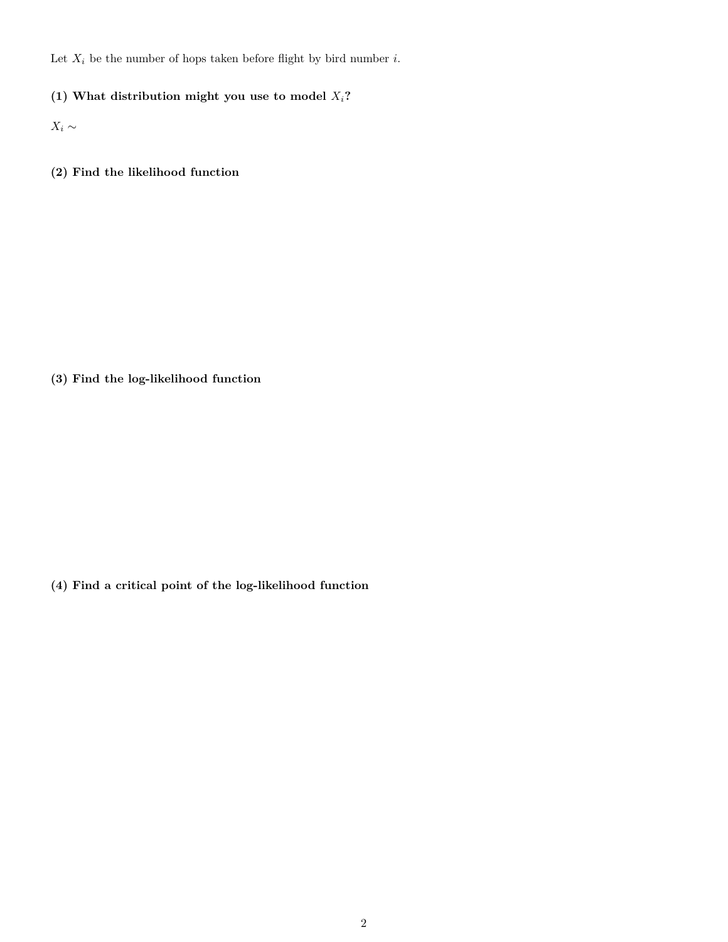Let  $X_i$  be the number of hops taken before flight by bird number *i*.

**(1) What distribution might you use to model** *Xi***?**

 $X_i$  ∼

**(2) Find the likelihood function**

**(3) Find the log-likelihood function**

**(4) Find a critical point of the log-likelihood function**